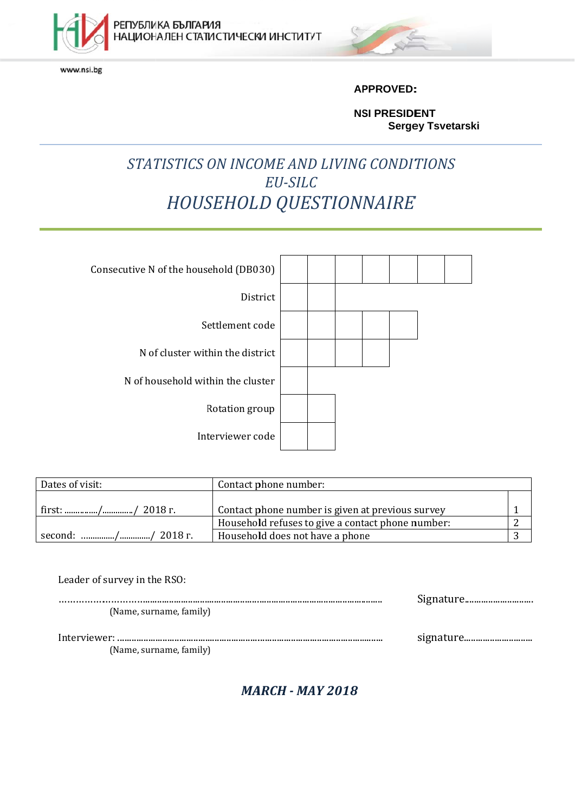

РЕПУБЛИКА БЪЛГАРИЯ<br>НАЦИОНАЛЕН СТАТИСТИЧЕСКИ ИНСТИТУТ

www.nsi.bg



**AP PPROVED: :**

**NSI PRESIDENT Sergey Tsvetarski** 

# *STATISTICS ON INCOME AND LIVING CONDITIONS EU-SILC<br>HOUSEHOLD QUESTIONNAIRE EU-SILC*



| Dates of visit:      | Contact phone number:                             |  |
|----------------------|---------------------------------------------------|--|
|                      |                                                   |  |
| first: // 2018 г.    | Contact phone number is given at previous survey  |  |
|                      | Household refuses to give a contact phone number: |  |
| ' second: // 2018 г. | Household does not have a phone                   |  |

| Leader of survey in the RSO: |  |
|------------------------------|--|
| (Name, surname, family)      |  |
| (Name, surname, family)      |  |

**MARCH - MAY 2018**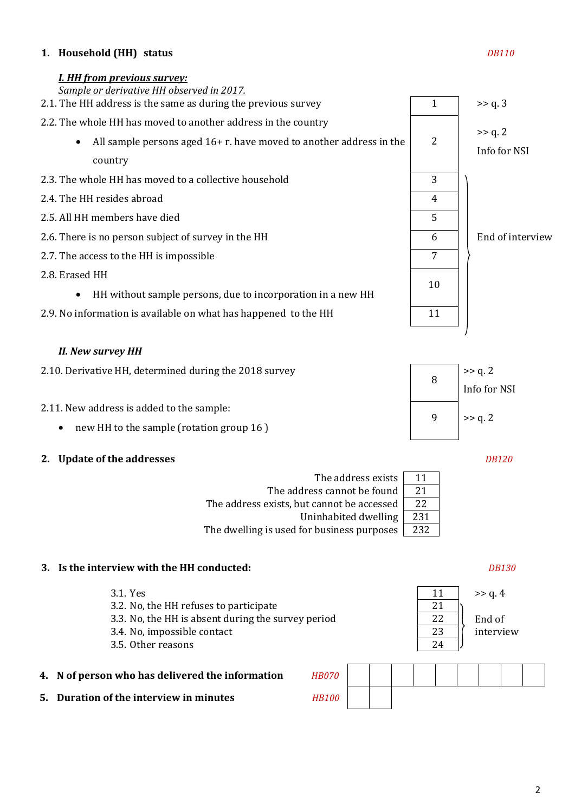#### **1. Household (HH) status** *DB110*

#### *I. HH from previous survey:*



#### *II. New survey HH*

| 2.10. Derivative HH, determined during the 2018 survey | >> q. 2<br>Info for NSI            |
|--------------------------------------------------------|------------------------------------|
| 2.11. New address is added to the sample:              | $\sim$ $\sim$ $\sim$ $\sim$ $\sim$ |

- new HH to the sample (rotation group 16 )  $\left| \begin{array}{cc} 9 \\ 9 \end{array} \right| \rightarrow$  9 | >> q. 2
- **2. Update of the addresses** *DB120*

| The address exists                         | 11  |
|--------------------------------------------|-----|
| The address cannot be found                | 21  |
| The address exists, but cannot be accessed | 22  |
| Uninhabited dwelling                       | 231 |
| The dwelling is used for business purposes | 232 |

#### **3. Is the interview with the HH conducted:** *DB130*

- 3.1. Yes 11 >> q. 4 3.2. No, the HH refuses to participate 21 3.3. No, the HH is absent during the survey period 22 3.4. No, impossible contact 23 3.5. Other reasons 24 **4. N** of person who has delivered the information *H*
- **5. Duration of the interview in minutes** *H*

| HB070        |  |  |  |  |  |
|--------------|--|--|--|--|--|
| <b>HB100</b> |  |  |  |  |  |

End of interview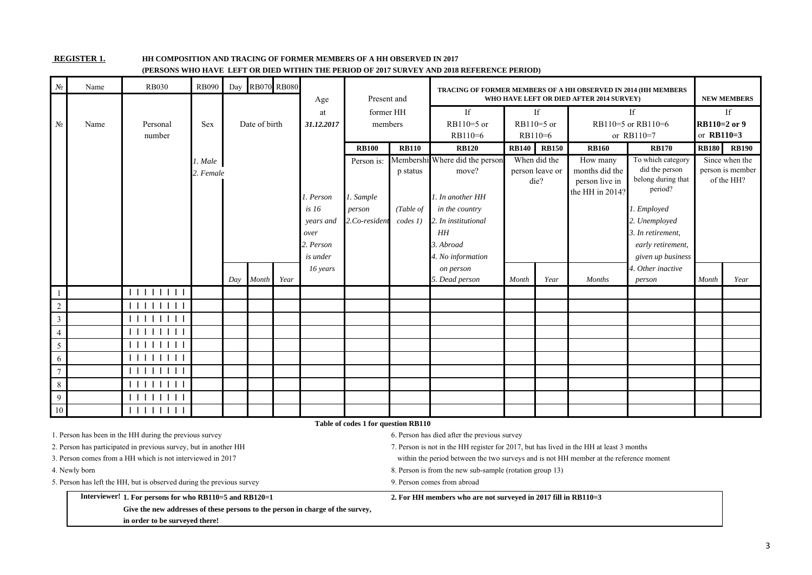#### **REGISTER 1.**

**HH COMPOSITION AND TRACING OF FORMER MEMBERS OF A HH OBSERVED IN 2017** 

| $N_2$           | Name                                                                           | <b>RB030</b>                                                          | <b>RB090</b> | Day |               | <b>RB070 RB080</b> |            |                                     |              | (PERSONS WHO HAVE  LEF 1 OR DIED WITHIN THE PERIOD OF 2017 SORVEY AND 2018 REFERENCE PERIOD) |              |                 |                                          |                               |              |                    |
|-----------------|--------------------------------------------------------------------------------|-----------------------------------------------------------------------|--------------|-----|---------------|--------------------|------------|-------------------------------------|--------------|----------------------------------------------------------------------------------------------|--------------|-----------------|------------------------------------------|-------------------------------|--------------|--------------------|
|                 |                                                                                |                                                                       |              |     |               |                    | Age        | Present and                         |              | <b>TRACING OF FORMER MEMBERS OF A HH OBSERVED IN 2014 (HH MEMBERS</b>                        |              |                 | WHO HAVE LEFT OR DIED AFTER 2014 SURVEY) |                               |              | <b>NEW MEMBERS</b> |
|                 |                                                                                |                                                                       |              |     |               |                    | at         | former HH                           |              | If                                                                                           |              | If              |                                          | <b>If</b>                     |              | If                 |
| $N_{\!2}$       | Name                                                                           | Personal                                                              | Sex          |     | Date of birth |                    | 31.12.2017 | members                             |              | RB110=5 or                                                                                   |              | RB110=5 or      |                                          | RB110=5 or RB110=6            | RB110=2 or 9 |                    |
|                 |                                                                                | number                                                                |              |     |               |                    |            |                                     |              | RB110=6                                                                                      |              | $RB110=6$       |                                          | or RB110=7                    | or $RB110=3$ |                    |
|                 |                                                                                |                                                                       |              |     |               |                    |            | <b>RB100</b>                        | <b>RB110</b> | <b>RB120</b>                                                                                 | <b>RB140</b> | <b>RB150</b>    | <b>RB160</b>                             | <b>RB170</b>                  | <b>RB180</b> | <b>RB190</b>       |
|                 |                                                                                |                                                                       | 1. Male      |     |               |                    |            | Person is:                          | Membershi    | Where did the person                                                                         |              | When did the    | How many                                 | To which category             |              | Since when the     |
|                 |                                                                                |                                                                       | 2. Female    |     |               |                    |            |                                     | p status     | move?                                                                                        |              | person leave or | months did the                           | did the person                |              | person is member   |
|                 |                                                                                |                                                                       |              |     |               |                    |            |                                     |              |                                                                                              |              | die?            | person live in                           | belong during that<br>period? |              | of the HH?         |
|                 |                                                                                |                                                                       |              |     |               |                    | . Person   | 1. Sample                           |              | l. In another HH                                                                             |              |                 | the HH in 2014?                          |                               |              |                    |
|                 |                                                                                |                                                                       |              |     |               |                    | is 16      | person                              | (Table of    | in the country                                                                               |              |                 |                                          | 1. Employed                   |              |                    |
|                 |                                                                                |                                                                       |              |     |               |                    | years and  | 2.Co-resident                       | codes 1)     | . In institutional                                                                           |              |                 |                                          | 2. Unemployed                 |              |                    |
|                 |                                                                                |                                                                       |              |     |               |                    | over       |                                     |              | HH                                                                                           |              |                 |                                          | 3. In retirement,             |              |                    |
|                 |                                                                                |                                                                       |              |     |               |                    | 2. Person  |                                     |              | 3. Abroad                                                                                    |              |                 |                                          | early retirement,             |              |                    |
|                 |                                                                                |                                                                       |              |     |               |                    | is under   |                                     |              | 4. No information                                                                            |              |                 |                                          | given up business             |              |                    |
|                 |                                                                                |                                                                       |              |     |               |                    | 16 years   |                                     |              | on person                                                                                    |              |                 |                                          | 4. Other inactive             |              |                    |
|                 |                                                                                |                                                                       |              | Day | Month         | Year               |            |                                     |              | 5. Dead person                                                                               | Month        | Year            | <b>Months</b>                            | person                        | Month        | Year               |
|                 |                                                                                | 111111111                                                             |              |     |               |                    |            |                                     |              |                                                                                              |              |                 |                                          |                               |              |                    |
| $\overline{2}$  |                                                                                | 11111111                                                              |              |     |               |                    |            |                                     |              |                                                                                              |              |                 |                                          |                               |              |                    |
| $\overline{3}$  |                                                                                | 111111111                                                             |              |     |               |                    |            |                                     |              |                                                                                              |              |                 |                                          |                               |              |                    |
| $\overline{4}$  |                                                                                | 111111111                                                             |              |     |               |                    |            |                                     |              |                                                                                              |              |                 |                                          |                               |              |                    |
| 5               |                                                                                | 111111111                                                             |              |     |               |                    |            |                                     |              |                                                                                              |              |                 |                                          |                               |              |                    |
| 6               |                                                                                | 111111111                                                             |              |     |               |                    |            |                                     |              |                                                                                              |              |                 |                                          |                               |              |                    |
| $\overline{7}$  |                                                                                | 111111111                                                             |              |     |               |                    |            |                                     |              |                                                                                              |              |                 |                                          |                               |              |                    |
| $\,8\,$         |                                                                                | 111111111                                                             |              |     |               |                    |            |                                     |              |                                                                                              |              |                 |                                          |                               |              |                    |
| 9               |                                                                                | 111111111                                                             |              |     |               |                    |            |                                     |              |                                                                                              |              |                 |                                          |                               |              |                    |
| $\overline{10}$ |                                                                                | $\overline{11}111111$                                                 |              |     |               |                    |            |                                     |              |                                                                                              |              |                 |                                          |                               |              |                    |
|                 |                                                                                |                                                                       |              |     |               |                    |            | Table of codes 1 for question RB110 |              |                                                                                              |              |                 |                                          |                               |              |                    |
|                 |                                                                                | 1. Person has been in the HH during the previous survey               |              |     |               |                    |            |                                     |              | 6. Person has died after the previous survey                                                 |              |                 |                                          |                               |              |                    |
|                 |                                                                                | 2. Person has participated in previous survey, but in another HH      |              |     |               |                    |            |                                     |              | 7. Person is not in the HH register for 2017, but has lived in the HH at least 3 months      |              |                 |                                          |                               |              |                    |
|                 |                                                                                | 3. Person comes from a HH which is not interviewed in 2017            |              |     |               |                    |            |                                     |              | within the period between the two surveys and is not HH member at the reference moment       |              |                 |                                          |                               |              |                    |
|                 | 4. Newly born                                                                  |                                                                       |              |     |               |                    |            |                                     |              | 8. Person is from the new sub-sample (rotation group 13)                                     |              |                 |                                          |                               |              |                    |
|                 |                                                                                | 5. Person has left the HH, but is observed during the previous survey |              |     |               |                    |            |                                     |              | 9. Person comes from abroad                                                                  |              |                 |                                          |                               |              |                    |
|                 |                                                                                | Interviewer! 1. For persons for who RB110=5 and RB120=1               |              |     |               |                    |            |                                     |              | 2. For HH members who are not surveyed in 2017 fill in RB110=3                               |              |                 |                                          |                               |              |                    |
|                 | Give the new addresses of these persons to the person in charge of the survey, |                                                                       |              |     |               |                    |            |                                     |              |                                                                                              |              |                 |                                          |                               |              |                    |

#### **(PERSONS WHO HAVE LEFT OR DIED WITHIN THE PERIOD OF 2017 SURVEY AND 2018 REFERENCE PERIOD)**

**in order to be surveyed there!**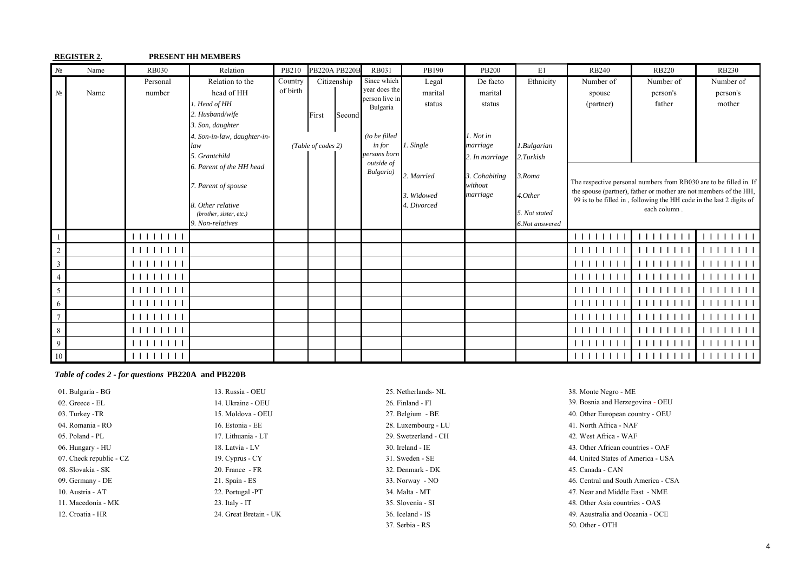#### **REGISTER 2. PRESENT HH MEMBERS**

| $N_2$           | Name | <b>RB030</b>                                                                                                                                                                                                                                                                                                                                             | Relation                                        | PB210    | <b>PB220A PB220B</b> |        | <b>RB031</b>                 | PB190       | <b>PB200</b>             | E1             | <b>RB240</b> | <b>RB220</b>                                                         | <b>RB230</b>   |
|-----------------|------|----------------------------------------------------------------------------------------------------------------------------------------------------------------------------------------------------------------------------------------------------------------------------------------------------------------------------------------------------------|-------------------------------------------------|----------|----------------------|--------|------------------------------|-------------|--------------------------|----------------|--------------|----------------------------------------------------------------------|----------------|
|                 |      | Personal                                                                                                                                                                                                                                                                                                                                                 | Relation to the                                 | Country  | Citizenship          |        | Since which<br>vear does the | Legal       | De facto                 | Ethnicity      | Number of    | Number of                                                            | Number of      |
| $N_2$           | Name | number                                                                                                                                                                                                                                                                                                                                                   | head of HH                                      | of birth |                      |        | person live in               | marital     | marital                  |                | spouse       | person's                                                             | person's       |
|                 |      |                                                                                                                                                                                                                                                                                                                                                          | 1. Head of HH                                   |          |                      |        | Bulgaria                     | status      | status                   |                | (partner)    | father                                                               | mother         |
|                 |      |                                                                                                                                                                                                                                                                                                                                                          | 2. Husband/wife                                 |          | First                | Second |                              |             |                          |                |              |                                                                      |                |
|                 |      |                                                                                                                                                                                                                                                                                                                                                          | 3. Son, daughter                                |          |                      |        |                              |             |                          |                |              |                                                                      |                |
|                 |      |                                                                                                                                                                                                                                                                                                                                                          | 4. Son-in-law, daughter-in-                     |          |                      |        | (to be filled                |             | 1. Not in                |                |              |                                                                      |                |
|                 |      |                                                                                                                                                                                                                                                                                                                                                          | law                                             |          | (Table of codes 2)   |        | <i>in for</i>                | 1. Single   | marriage                 | 1.Bulgarian    |              |                                                                      |                |
|                 |      |                                                                                                                                                                                                                                                                                                                                                          | 5. Grantchild                                   |          |                      |        | persons born<br>outside of   |             | 2. In marriage           | 2.Turkish      |              |                                                                      |                |
|                 |      |                                                                                                                                                                                                                                                                                                                                                          | 6. Parent of the HH head<br>7. Parent of spouse |          |                      |        | Bulgaria)                    | 2. Married  | 3. Cohabiting<br>without | 3.Roma         |              | The respective personal numbers from RB030 are to be filled in. If   |                |
|                 |      |                                                                                                                                                                                                                                                                                                                                                          |                                                 |          |                      |        |                              | 3. Widowed  | marriage                 | 4.Other        |              | the spouse (partner), father or mother are not members of the HH,    |                |
|                 |      |                                                                                                                                                                                                                                                                                                                                                          | 8. Other relative                               |          |                      |        |                              | 4. Divorced |                          |                |              | 99 is to be filled in, following the HH code in the last 2 digits of |                |
|                 |      |                                                                                                                                                                                                                                                                                                                                                          | (brother, sister, etc.)                         |          |                      |        |                              |             |                          | 5. Not stated  |              | each column.                                                         |                |
|                 |      |                                                                                                                                                                                                                                                                                                                                                          | 9. Non-relatives                                |          |                      |        |                              |             |                          | 6.Not answered |              |                                                                      |                |
|                 |      | 11111111                                                                                                                                                                                                                                                                                                                                                 |                                                 |          |                      |        |                              |             |                          |                | 111111111    | 11111111                                                             | $\Box$<br>1111 |
|                 |      |                                                                                                                                                                                                                                                                                                                                                          |                                                 |          |                      |        |                              |             |                          |                | 1111111      | 111111                                                               | $\perp$        |
| $\overline{3}$  |      |                                                                                                                                                                                                                                                                                                                                                          |                                                 |          |                      |        |                              |             |                          |                | 111111111    | 111111111                                                            | 1111<br>1111   |
| $\overline{4}$  |      | 11111111                                                                                                                                                                                                                                                                                                                                                 |                                                 |          |                      |        |                              |             |                          |                | 111111111    | 111111111                                                            | 1111<br>1111   |
| 5               |      | 1111111                                                                                                                                                                                                                                                                                                                                                  |                                                 |          |                      |        |                              |             |                          |                | 1111111      | 1111111                                                              | $\perp$        |
| 6               |      |                                                                                                                                                                                                                                                                                                                                                          |                                                 |          |                      |        |                              |             |                          |                | 111111111    | 1 1 1 1 1 1 1 1                                                      | 1111<br>1111   |
| $7\phantom{.0}$ |      |                                                                                                                                                                                                                                                                                                                                                          |                                                 |          |                      |        |                              |             |                          |                | 111111111    | 111111111                                                            |                |
| 8               |      | 1111111                                                                                                                                                                                                                                                                                                                                                  |                                                 |          |                      |        |                              |             |                          |                | 1111111      | 111111                                                               | $\perp$        |
| 9               |      | $\Box$                                                                                                                                                                                                                                                                                                                                                   |                                                 |          |                      |        |                              |             |                          |                | 111111111    | 11111111                                                             | 1111           |
| $10\,$          |      | $\begin{tabular}{c} \bf{1} & \bf{1} & \bf{1} & \bf{1} & \bf{1} & \bf{1} \\ \bf{1} & \bf{1} & \bf{1} & \bf{1} & \bf{1} & \bf{1} \\ \bf{1} & \bf{1} & \bf{1} & \bf{1} & \bf{1} & \bf{1} \\ \bf{1} & \bf{1} & \bf{1} & \bf{1} & \bf{1} & \bf{1} \\ \bf{1} & \bf{1} & \bf{1} & \bf{1} & \bf{1} & \bf{1} \\ \bf{1} & \bf{1} & \bf{1} & \bf{1} & \bf{1} & \bf$ |                                                 |          |                      |        |                              |             |                          |                |              |                                                                      | 111111111      |

#### *Table of codes 2 - for questions* **PB220A and PB220B**

01. Bulgaria - BG 13. Russia - OEU 25. Netherlands- NL 38. Monte Negro - ME 02. Greece - EL 14. Ukraine - OEU 26. Finland - FI 04. Romania - RO 16. Estonia - EE 28. Luxembourg - LU 41. North Africa - NAF 05. Poland - PL 29. Swetzerland - CH 42. West Africa - WAF 42. West Africa - WAF 08. Slovakia - SK 20. France - FR 32. Denmark - DK

37. Serbia - RS 50. Other - OTH

 39. Bosnia and Herzegovina - OEU 03. Turkey -TR 15. Moldova - OEU 27. Belgium - BE 40. Other European country - OEU 06. Hungary - HU 18. Latvia - LV 18. Latvia - LV 30. Ireland - IE 43. Other African countries - OAF 07. Check republic - CZ 19. Cyprus - CY 31. Sweden - SE 44. United States of America - USA 45. Canada - CAN 09. Germany - DE 21. Spain - ES 33. Norway - NO 46. Central and South America - CSA 10. Austria - AT 22. Portugal -PT 34. Malta - MT 34. Malta - MT 47. Near and Middle East - NME 11. Macedonia - MK 23. Italy - IT 35. Slovenia - SI 48. Other Asia countries - OAS 12. Croatia - HR 24. Great Bretain - UK 36. Iceland - IS 49. Аaustralia and Oceania - OCE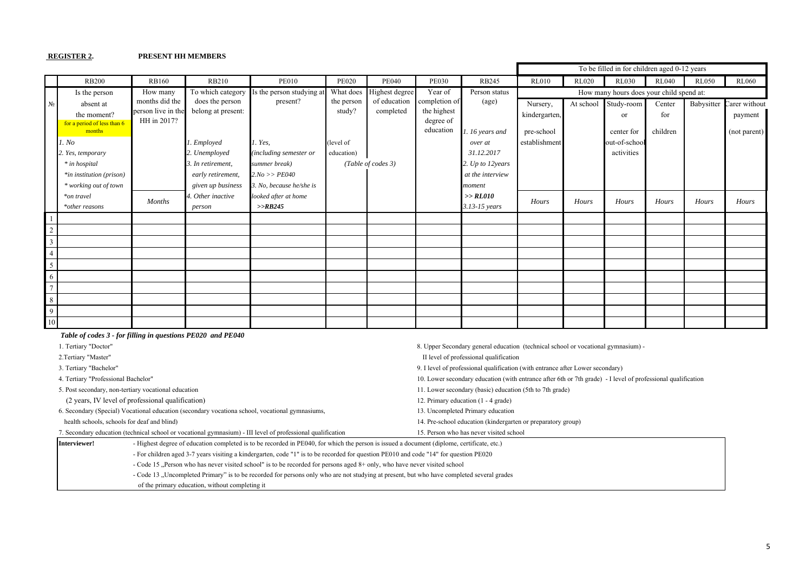#### **REGISTER 2. PRESENT HH MEMBERS**

|        |                                       |                                   |                    |                           |              |                    |                          |                  |               |              | To be filled in for children aged 0-12 years |              |              |               |
|--------|---------------------------------------|-----------------------------------|--------------------|---------------------------|--------------|--------------------|--------------------------|------------------|---------------|--------------|----------------------------------------------|--------------|--------------|---------------|
|        | <b>RB200</b>                          | <b>RB160</b>                      | <b>RB210</b>       | <b>PE010</b>              | <b>PE020</b> | <b>PE040</b>       | <b>PE030</b>             | <b>RB245</b>     | <b>RL010</b>  | <b>RL020</b> | <b>RL030</b>                                 | <b>RL040</b> | <b>RL050</b> | <b>RL060</b>  |
|        | Is the person                         | How many                          | To which category  | Is the person studying at | What does    | Highest degree     | Year of                  | Person status    |               |              | How many hours does your child spend at:     |              |              |               |
| No     | absent at                             | months did the                    | does the person    | present?                  | the person   | of education       | completion of            | (age)            | Nursery,      | At school    | Study-room                                   | Center       | Babysitter   | Carer without |
|        | the moment?                           | person live in the<br>HH in 2017? | belong at present: |                           | study?       | completed          | the highest<br>degree of |                  | kindergarten, |              | <sub>or</sub>                                | for          |              | payment       |
|        | for a period of less than 6<br>months |                                   |                    |                           |              |                    | education                | .16 years and    | pre-school    |              | center for                                   | children     |              | (not parent)  |
|        | 1. No                                 |                                   | 1. Employed        | 1. Yes.                   | (level of    |                    |                          | over at          | establishment |              | out-of-school                                |              |              |               |
|        | 2. Yes, temporary                     |                                   | 2. Unemployed      | (including semester or    | education)   |                    |                          | 31.12.2017       |               |              | activities                                   |              |              |               |
|        | * in hospital                         |                                   | 3. In retirement,  | summer break)             |              | (Table of codes 3) |                          | 2. Up to 12years |               |              |                                              |              |              |               |
|        | *in institution (prison)              |                                   | early retirement,  | $2.No \gg PE040$          |              |                    |                          | at the interview |               |              |                                              |              |              |               |
|        | * working out of town                 |                                   | given up business  | 3. No, because he/she is  |              |                    |                          | moment           |               |              |                                              |              |              |               |
|        | *on travel                            | <b>Months</b>                     | 4. Other inactive  | looked after at home      |              |                    |                          | >> RLO10         | Hours         | Hours        | Hours                                        | Hours        | Hours        | Hours         |
|        | *other reasons                        |                                   | person             | >>RB245                   |              |                    |                          | 3.13-15 years    |               |              |                                              |              |              |               |
|        |                                       |                                   |                    |                           |              |                    |                          |                  |               |              |                                              |              |              |               |
|        |                                       |                                   |                    |                           |              |                    |                          |                  |               |              |                                              |              |              |               |
|        |                                       |                                   |                    |                           |              |                    |                          |                  |               |              |                                              |              |              |               |
|        |                                       |                                   |                    |                           |              |                    |                          |                  |               |              |                                              |              |              |               |
|        |                                       |                                   |                    |                           |              |                    |                          |                  |               |              |                                              |              |              |               |
| 6      |                                       |                                   |                    |                           |              |                    |                          |                  |               |              |                                              |              |              |               |
|        |                                       |                                   |                    |                           |              |                    |                          |                  |               |              |                                              |              |              |               |
| 8      |                                       |                                   |                    |                           |              |                    |                          |                  |               |              |                                              |              |              |               |
| 9      |                                       |                                   |                    |                           |              |                    |                          |                  |               |              |                                              |              |              |               |
| $10\,$ |                                       |                                   |                    |                           |              |                    |                          |                  |               |              |                                              |              |              |               |

|                                     | Table of codes 3 - for filling in questions PE020 and PE040                                                                                |                                                                                                              |  |  |  |  |
|-------------------------------------|--------------------------------------------------------------------------------------------------------------------------------------------|--------------------------------------------------------------------------------------------------------------|--|--|--|--|
| 1. Tertiary "Doctor"                |                                                                                                                                            | 8. Upper Secondary general education (technical school or vocational gymnasium) -                            |  |  |  |  |
| 2. Tertiary "Master"                |                                                                                                                                            | II level of professional qualification                                                                       |  |  |  |  |
| 3. Tertiary "Bachelor"              |                                                                                                                                            | 9. I level of professional qualification (with entrance after Lower secondary)                               |  |  |  |  |
| 4. Tertiary "Professional Bachelor" |                                                                                                                                            | 10. Lower secondary education (with entrance after 6th or 7th grade) - I level of professional qualification |  |  |  |  |
|                                     | 5. Post secondary, non-tertiary vocational education                                                                                       | 11. Lower secondary (basic) education (5th to 7th grade)                                                     |  |  |  |  |
|                                     | (2 years, IV level of professional qualification)                                                                                          | 12. Primary education (1 - 4 grade)                                                                          |  |  |  |  |
|                                     | 6. Secondary (Special) Vocational education (secondary vocationa school, vocational gymnasiums,                                            | 13. Uncompleted Primary education                                                                            |  |  |  |  |
|                                     | health schools, schools for deaf and blind)                                                                                                | 14. Pre-school education (kindergarten or preparatory group)                                                 |  |  |  |  |
|                                     | 7. Secondary education (technical school or vocational gymnasium) - III level of professional qualification                                | 15. Person who has never visited school                                                                      |  |  |  |  |
| Interviewer!                        | - Highest degree of education completed is to be recorded in PE040, for which the person is issued a document (diplome, certificate, etc.) |                                                                                                              |  |  |  |  |
|                                     | - For children aged 3-7 years visiting a kindergarten, code "1" is to be recorded for question PE010 and code "14" for question PE020      |                                                                                                              |  |  |  |  |
|                                     | - Code 15 "Person who has never visited school" is to be recorded for persons aged 8+ only, who have never visited school                  |                                                                                                              |  |  |  |  |
|                                     | - Code 13 , Uncompleted Primary" is to be recorded for persons only who are not studying at present, but who have completed several grades |                                                                                                              |  |  |  |  |
|                                     | of the primary education, without completing it                                                                                            |                                                                                                              |  |  |  |  |

5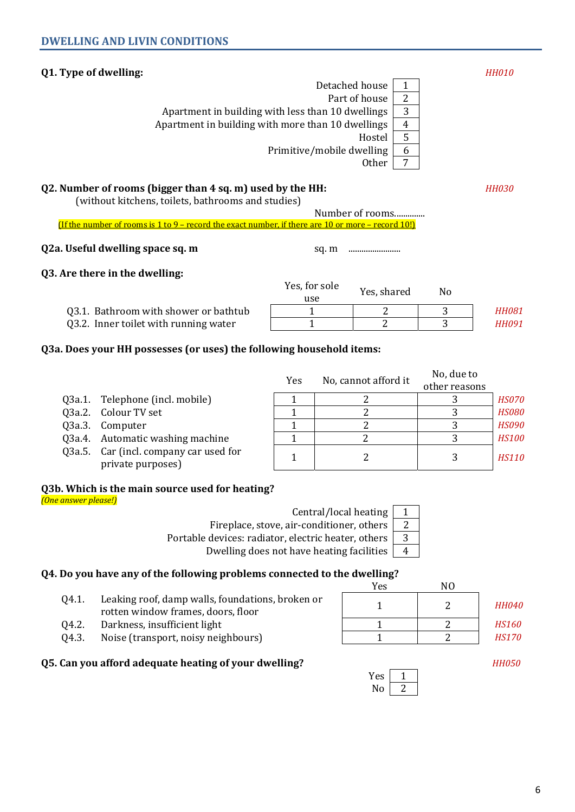## **Q1. Type of dwelling:** *HH010*

Detached house  $\vert$  1 Part of house  $\vert$  2 Apartment in building with less than 10 dwellings  $\begin{vmatrix} 3 \end{vmatrix}$ Apartment in building with more than 10 dwellings  $\begin{vmatrix} 4 \end{vmatrix}$ Hostel 5 Primitive/mobile dwelling  $\vert$  6 Other<sup>7</sup>

## **Q2. Number of rooms (bigger than 4 sq. m) used by the HH:** *HH030 <i>HH030*

(without kitchens, toilets, bathrooms and studies)

Number of rooms.............. (If the number of rooms is 1 to 9 – record the exact number, if there are 10 or more – record 10!)

### **Q2a. Useful dwelling space sq. m** sq. m ........................

## **Q3. Are there in the dwelling:**

|                                       | Yes, for sole<br>use | Yes, shared | No |              |
|---------------------------------------|----------------------|-------------|----|--------------|
| Q3.1. Bathroom with shower or bathtub |                      |             |    | <b>HH081</b> |
| Q3.2. Inner toilet with running water |                      |             |    | <b>HH091</b> |

## **Q3a. Does your HH possesses (or uses) the following household items:**

|                                                             | No, cannot afford it<br>Yes |  | No, due to    |              |
|-------------------------------------------------------------|-----------------------------|--|---------------|--------------|
|                                                             |                             |  | other reasons |              |
| Q3a.1. Telephone (incl. mobile)                             |                             |  |               | <i>HS070</i> |
| Q3a.2. Colour TV set                                        |                             |  |               | <b>HS080</b> |
| Q3a.3. Computer                                             |                             |  |               | <b>HS090</b> |
| Q3a.4. Automatic washing machine                            |                             |  |               | <b>HS100</b> |
| Q3a.5. Car (incl. company car used for<br>private purposes) |                             |  |               | <b>HS110</b> |

# **Q3b. Which is the main source used for heating?**

*(One answer please!)* 

Central/local heating  $\vert$  1

Fireplace, stove, air-conditioner, others  $\begin{bmatrix} 2 \end{bmatrix}$ 

Dwelling does not have heating facilities  $\begin{bmatrix} 4 \end{bmatrix}$ 

#### **Q4. Do you have any of the following problems connected to the dwelling?** Yes NO

- Q4.1. Leaking roof, damp walls, foundations, broken or rotten window frames, doors, floor and a process of the set of the set of the set of the set of the set of the<br>The set of the set of the set of the set of the set of the set of the set of the set of the set of the set of t
- Q4.2. Darkness, insufficient light 1 1 2 *HS160*
- Q4.3. Noise (transport, noisy neighbours) 1 2 *HS170*

### **Q5. Can you afford adequate heating of your dwelling?**



 $\sqrt{2}$ 

6

Portable devices: radiator, electric heater, others 3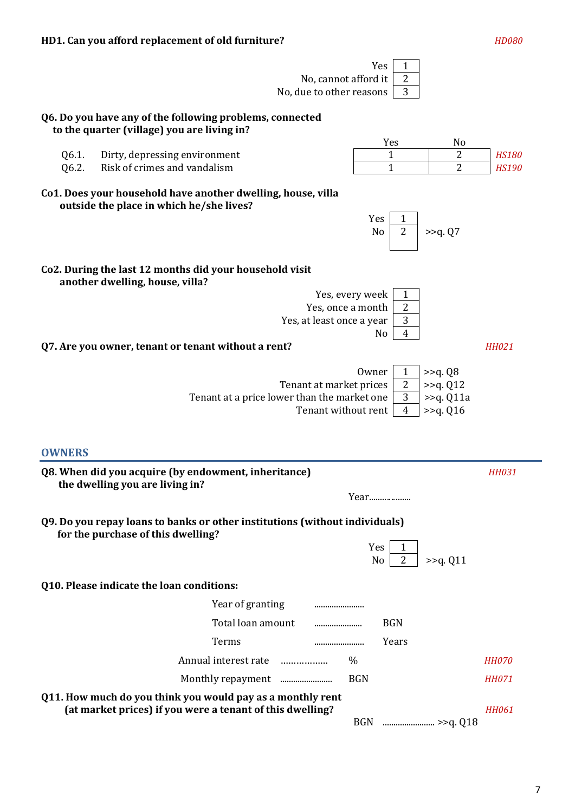| Yes<br>1<br>2<br>No, cannot afford it<br>3<br>No, due to other reasons                                                                                                                  |                              |
|-----------------------------------------------------------------------------------------------------------------------------------------------------------------------------------------|------------------------------|
| Q6. Do you have any of the following problems, connected<br>to the quarter (village) you are living in?                                                                                 |                              |
| Yes<br>No<br>$\overline{2}$<br>Dirty, depressing environment<br>$\mathbf{1}$<br>Q6.1.<br>$\mathbf{1}$<br>Risk of crimes and vandalism<br>$\overline{2}$<br>Q6.2.                        | <b>HS180</b><br><b>HS190</b> |
| Co1. Does your household have another dwelling, house, villa<br>outside the place in which he/she lives?<br>Yes<br>1                                                                    |                              |
| $\overline{2}$<br>N <sub>o</sub><br>>>q. Q7                                                                                                                                             |                              |
| Co2. During the last 12 months did your household visit<br>another dwelling, house, villa?                                                                                              |                              |
| Yes, every week<br>1<br>$\overline{c}$<br>Yes, once a month<br>3<br>Yes, at least once a year<br>4<br>N <sub>0</sub>                                                                    |                              |
| Q7. Are you owner, tenant or tenant without a rent?                                                                                                                                     | <b>HH021</b>                 |
| Owner<br>1<br>>>q. Q8<br>2<br>Tenant at market prices<br>>>q. Q12<br>3<br>Tenant at a price lower than the market one<br>>>q. Q11a<br>Tenant without rent<br>4<br>>> <sub>q</sub> . Q16 |                              |
| <b>OWNERS</b><br>Q8. When did you acquire (by endowment, inheritance)                                                                                                                   | <b>HH031</b>                 |
| the dwelling you are living in?<br>Year                                                                                                                                                 |                              |
| Q9. Do you repay loans to banks or other institutions (without individuals)<br>for the purchase of this dwelling?<br>Yes<br>1<br>2<br>No<br>>> <sub>q</sub> . Q11                       |                              |
| Q10. Please indicate the loan conditions:                                                                                                                                               |                              |
| Year of granting                                                                                                                                                                        |                              |
| Total loan amount<br><b>BGN</b><br>                                                                                                                                                     |                              |
| Terms<br>Years<br>                                                                                                                                                                      |                              |
| Annual interest rate<br>$\%$                                                                                                                                                            | <b>HH070</b>                 |
| <b>BGN</b>                                                                                                                                                                              | <b>HH071</b>                 |
| Q11. How much do you think you would pay as a monthly rent<br>(at market prices) if you were a tenant of this dwelling?                                                                 | <b>HH061</b>                 |

BGN ........................ >>q. Q18

7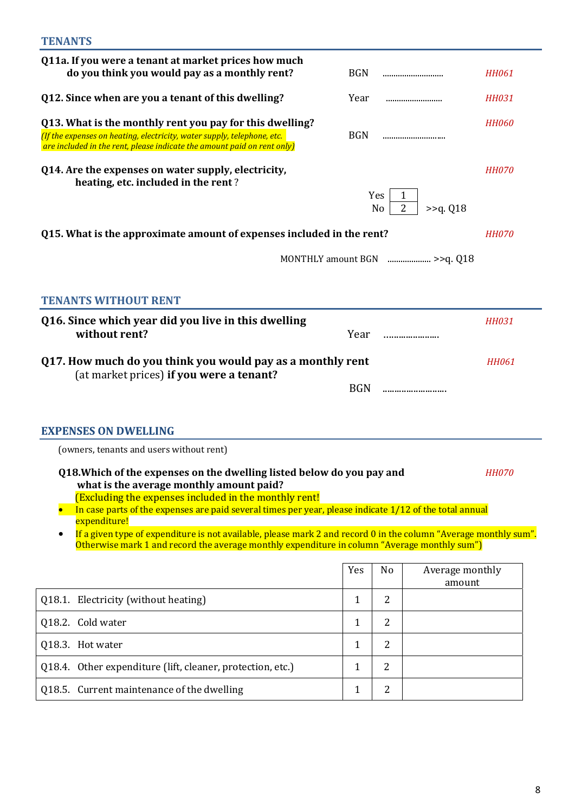| Q11a. If you were a tenant at market prices how much<br>do you think you would pay as a monthly rent?                                                                                                                                                                                                                                                                                                                                                                                                                        | <b>BGN</b>   |                | <b>HH061</b><br>                           |
|------------------------------------------------------------------------------------------------------------------------------------------------------------------------------------------------------------------------------------------------------------------------------------------------------------------------------------------------------------------------------------------------------------------------------------------------------------------------------------------------------------------------------|--------------|----------------|--------------------------------------------|
| Q12. Since when are you a tenant of this dwelling?                                                                                                                                                                                                                                                                                                                                                                                                                                                                           | Year         |                | <b>HH031</b><br>                           |
| Q13. What is the monthly rent you pay for this dwelling?<br>(If the expenses on heating, electricity, water supply, telephone, etc.<br>are included in the rent, please indicate the amount paid on rent only)                                                                                                                                                                                                                                                                                                               | <b>BGN</b>   |                | <b>HH060</b><br>                           |
| Q14. Are the expenses on water supply, electricity,<br>heating, etc. included in the rent?                                                                                                                                                                                                                                                                                                                                                                                                                                   |              | Yes.<br>No     | <b>HH070</b><br>$\overline{2}$<br>>>q. Q18 |
| Q15. What is the approximate amount of expenses included in the rent?                                                                                                                                                                                                                                                                                                                                                                                                                                                        |              |                | <b>HH070</b>                               |
|                                                                                                                                                                                                                                                                                                                                                                                                                                                                                                                              |              |                |                                            |
| <b>TENANTS WITHOUT RENT</b>                                                                                                                                                                                                                                                                                                                                                                                                                                                                                                  |              |                |                                            |
| Q16. Since which year did you live in this dwelling<br>without rent?                                                                                                                                                                                                                                                                                                                                                                                                                                                         | Year         |                | <b>HH031</b>                               |
| Q17. How much do you think you would pay as a monthly rent<br>(at market prices) if you were a tenant?                                                                                                                                                                                                                                                                                                                                                                                                                       | <b>BGN</b>   |                | <b>HH061</b><br>                           |
| <b>EXPENSES ON DWELLING</b><br>(owners, tenants and users without rent)                                                                                                                                                                                                                                                                                                                                                                                                                                                      |              |                |                                            |
| Q18. Which of the expenses on the dwelling listed below do you pay and<br>what is the average monthly amount paid?<br>(Excluding the expenses included in the monthly rent!<br>In case parts of the expenses are paid several times per year, please indicate $1/12$ of the total annual<br>expenditure!<br>If a given type of expenditure is not available, please mark 2 and record 0 in the column "Average monthly sum".<br>Otherwise mark 1 and record the average monthly expenditure in column "Average monthly sum") |              |                | <b>HH070</b>                               |
|                                                                                                                                                                                                                                                                                                                                                                                                                                                                                                                              | Yes          | No             | Average monthly                            |
|                                                                                                                                                                                                                                                                                                                                                                                                                                                                                                                              |              |                | amount                                     |
| Q18.1. Electricity (without heating)                                                                                                                                                                                                                                                                                                                                                                                                                                                                                         | $\mathbf{1}$ | $\overline{2}$ |                                            |
| Q18.2. Cold water                                                                                                                                                                                                                                                                                                                                                                                                                                                                                                            | $\mathbf{1}$ | $\overline{2}$ |                                            |
| Q18.3. Hot water                                                                                                                                                                                                                                                                                                                                                                                                                                                                                                             | $\mathbf{1}$ | $\overline{2}$ |                                            |
| Q18.4. Other expenditure (lift, cleaner, protection, etc.)                                                                                                                                                                                                                                                                                                                                                                                                                                                                   | $\mathbf{1}$ | $\overline{2}$ |                                            |
| Q18.5. Current maintenance of the dwelling                                                                                                                                                                                                                                                                                                                                                                                                                                                                                   | $\mathbf{1}$ | 2              |                                            |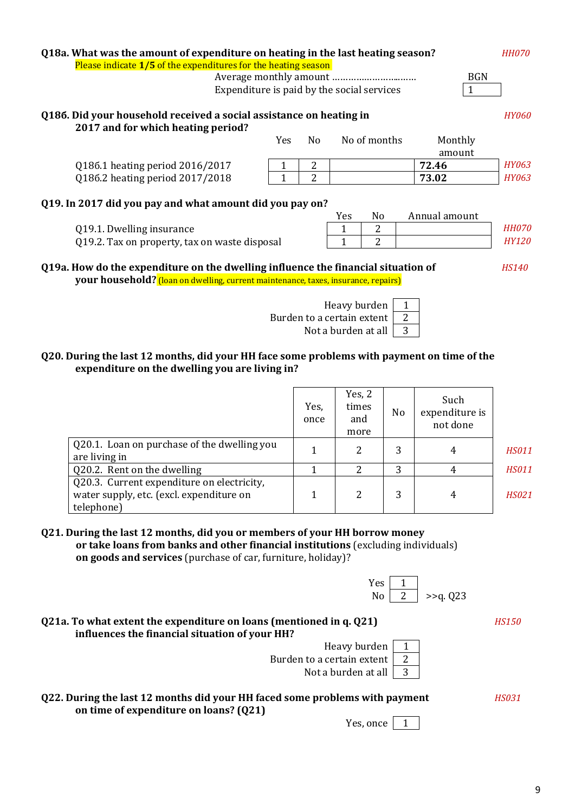| Q18a. What was the amount of expenditure on heating in the last heating season?    |              |     |                                            |               | <b>HH070</b> |
|------------------------------------------------------------------------------------|--------------|-----|--------------------------------------------|---------------|--------------|
| Please indicate 1/5 of the expenditures for the heating season                     |              |     |                                            |               |              |
|                                                                                    |              |     |                                            | <b>BGN</b>    |              |
|                                                                                    |              |     | Expenditure is paid by the social services | 1             |              |
|                                                                                    |              |     |                                            |               |              |
| Q186. Did your household received a social assistance on heating in                |              |     |                                            |               | <b>HY060</b> |
| 2017 and for which heating period?                                                 |              |     |                                            |               |              |
|                                                                                    | Yes          | No. | No of months                               | Monthly       |              |
|                                                                                    |              |     |                                            | amount        |              |
| Q186.1 heating period 2016/2017                                                    | 1            | 2   |                                            | 72.46         | HY063        |
| Q186.2 heating period 2017/2018                                                    | $\mathbf{1}$ | 2   |                                            | 73.02         | HY063        |
|                                                                                    |              |     |                                            |               |              |
| Q19. In 2017 did you pay and what amount did you pay on?                           |              |     |                                            |               |              |
|                                                                                    |              |     | No<br>Yes                                  | Annual amount |              |
| Q19.1. Dwelling insurance                                                          |              |     | 2<br>1                                     |               | <b>HH070</b> |
| Q19.2. Tax on property, tax on waste disposal                                      |              |     | 2<br>1                                     |               | <b>HY120</b> |
|                                                                                    |              |     |                                            |               |              |
| Q19a. How do the expenditure on the dwelling influence the financial situation of  |              |     |                                            |               | <b>HS140</b> |
| your household? (loan on dwelling, current maintenance, taxes, insurance, repairs) |              |     |                                            |               |              |
|                                                                                    |              |     |                                            |               |              |
|                                                                                    |              |     | Heavy burden                               |               |              |
| 2<br>Burden to a certain extent                                                    |              |     |                                            |               |              |
| 3<br>Not a burden at all                                                           |              |     |                                            |               |              |
|                                                                                    |              |     |                                            |               |              |
|                                                                                    |              |     |                                            |               |              |

#### **Q20. During the last 12 months, did your HH face some problems with payment on time of the expenditure on the dwelling you are living in?**

|                                                                                                      | Yes,<br>once | Yes, 2<br>times<br>and<br>more | No. | Such<br>expenditure is<br>not done |              |
|------------------------------------------------------------------------------------------------------|--------------|--------------------------------|-----|------------------------------------|--------------|
| Q20.1. Loan on purchase of the dwelling you<br>are living in                                         |              | 2                              | 3   | 4                                  | <b>HS011</b> |
| Q20.2. Rent on the dwelling                                                                          |              |                                | 3   | 4                                  | <b>HS011</b> |
| Q20.3. Current expenditure on electricity,<br>water supply, etc. (excl. expenditure on<br>telephone) |              | 2                              |     | 4                                  | <i>HS021</i> |

| Q21. During the last 12 months, did you or members of your HH borrow money        |  |
|-----------------------------------------------------------------------------------|--|
| or take loans from banks and other financial institutions (excluding individuals) |  |
| <b>on goods and services</b> (purchase of car, furniture, holiday)?               |  |

| Yes |            |
|-----|------------|
| N٥  | $>q$ . 023 |

#### **Q21а. To what extent the expenditure on loans (mentioned in q. Q21)** *HS150* **influences the financial situation of your HH?**

| Heavy burden   1              |  |
|-------------------------------|--|
| Burden to a certain extent 2  |  |
| Not a burden at all $\vert$ 3 |  |

9

### **Q22. During the last 12 months did your HH faced some problems with payment** *HS031* **on time of expenditure on loans? (Q21)**

Yes, once  $\boxed{1}$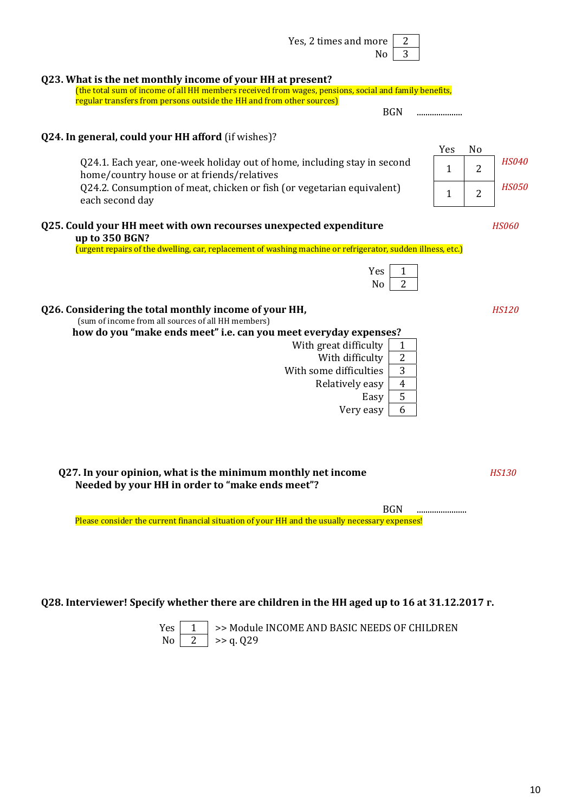| Yes, 2 times and more $\vert$ 2 |        |
|---------------------------------|--------|
|                                 | $No$ 3 |
|                                 |        |

#### **Q23. What is the net monthly income of your HH at present?**

(the total sum of income of all HH members received from wages, pensions, social and family benefits, regular transfers from persons outside the HH and from other sources) BGN .....................

#### **Q24. In general, could your HH afford** (if wishes)?

Q24.1. Each year, one-week holiday out of home, including stay in second  $\begin{array}{|c|c|c|c|c|}\n1 & 2 & HSO40 & & \text{HSO40} \end{array}$ Q24.2. Consumption of meat, chicken or fish (or vegetarian equivalent)  $\begin{array}{|c|c|c|c|c|c|}\n\hline\n1&2&HSO50\n\end{array}$ 

#### **Q25. Could your HH meet with own recourses unexpected expenditure** *HS060*  **up to 350 BGN?**

(urgent repairs of the dwelling, car, replacement of washing machine or refrigerator, sudden illness, etc.)

| - 5 |  |
|-----|--|
|     |  |

#### **Q26. Considering the total monthly income of your HH,** *HS120*

(sum of income from all sources of all HH members)

 **how do you "make ends meet" i.e. can you meet everyday expenses?**  With great difficulty  $\begin{vmatrix} 1 \end{vmatrix}$ With difficulty 2

With some difficulties  $\vert$  3

Relatively easy | 4

Easy 5 Very easy  $\begin{array}{|c|c|}$  6

**Q27. In your opinion, what is the minimum monthly net income** *HS130*  **Needed by your HH in order to "make ends meet"?** 

BGN ....................... Please consider the current financial situation of your HH and the usually necessary expenses!

#### **Q28. Interviewer! Specify whether there are children in the HH aged up to 16 at 31.12.2017 г.**

 $Yes \mid 1 \mid \gg$  Module INCOME AND BASIC NEEDS OF CHILDREN  $\text{No}$  | 2 | >> q. 029

Yes No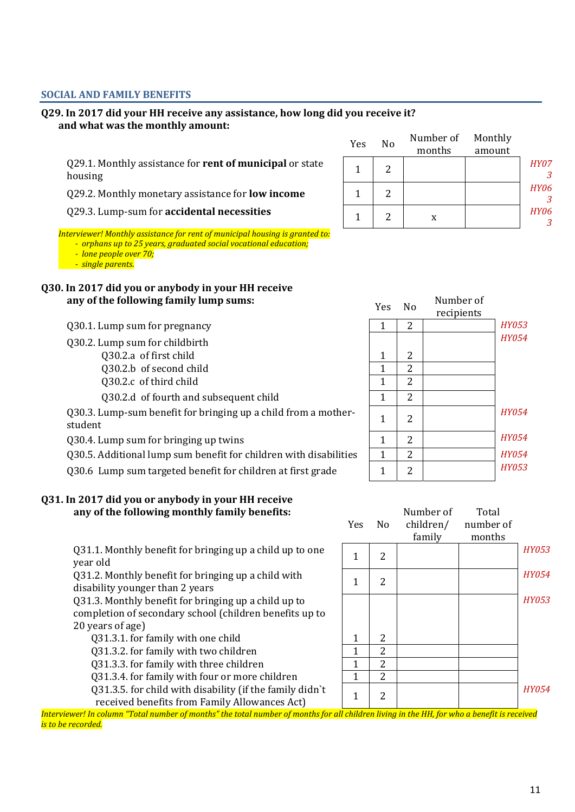## **SOCIAL AND FAMILY BENEFITS**

#### **Q29. In 2017 did your HH receive any assistance, how long did you receive it? and what was the monthly amount:**

Q29.1. Monthly assistance for **rent of municipal** or state  $\begin{array}{|c|c|c|c|c|} \hline 1 & 2 & 2 & \end{array}$  *HY07*<br>housing

Q29.2. Monthly monetary assistance for **low income** 

**029.3. Lump-sum for accidental necessities** 

*Interviewer! Monthly assistance for rent of municipal housing is granted to:* 

 *- orphans up to 25 years, graduated social vocational education;* 

 *- lone people over 70;* 

 *- single parents.*

### **Q30. In 2017 did you or anybody in your HH receive**  any of the following family lump sums:

Q30.1. Lump sum for pregnancy

Q30.2. Lump sum for childbirth

- Q30.2.а of first child
- Q30.2.b of second child
- Q30.2.c of third child

Q30.2.d of fourth and subsequent child

Q30.3. Lump-sum benefit for bringing up a child from a mother-<br>student  $\begin{array}{|c|c|c|c|c|c|}\n\hline\n\text{4} & \text{2} & \text{4} & \text{4} & \text{4} \\
\hline\n\end{array}$ 

030.4. Lump sum for bringing up twins

Q30.5. Additional lump sum benefit for children with disabilities 1 2 *HY054*

Q30.6 Lump sum targeted benefit for children at first grade

#### **Q31. In 2017 did you or anybody in your HH receive any of the following monthly family benefits:**

Q31.1. Monthly benefit for bringing up a child up to one year old 1 2 *HY053*

Q31.2. Monthly benefit for bringing up a child with  $\begin{array}{|c|c|c|c|c|}\hline 1&2&1&2&\ \hline \end{array}$ 

Q31.3. Monthly benefit for bringing up a child up to completion of secondary school (children benefits up to 20 years of age)

 $Q31.3.1.$  for family with one child  $1 \mid 2$ 

Q31.3.2. for family with two children 1 2

Q31.3.3. for family with three children  $\begin{array}{|c|c|c|c|c|c|c|c|c|} \hline 1 & 2 & 2 \ \hline \end{array}$ 

Q31.3.4. for family with four or more children  $\begin{array}{|c|c|c|c|c|} \hline \end{array}$  1 2

Q31.3.5. for child with disability (if the family didn`t

*Interviewer! In column "Total number of months" the total number of months for all children living in the HH, for who a benefit is received is to be recorded.*

| Yes.         | N <sub>o</sub> | Number of  |              |
|--------------|----------------|------------|--------------|
|              |                | recipients |              |
| $\mathbf{1}$ | 2              |            | <b>HY053</b> |
|              |                |            | <b>HY054</b> |
| 1            | 2              |            |              |
| $\mathbf{1}$ | $\overline{2}$ |            |              |
| $\mathbf{1}$ | $\overline{2}$ |            |              |
| $\mathbf{1}$ | $\overline{2}$ |            |              |
| $\mathbf{1}$ | $\overline{2}$ |            | HY054        |
| $\mathbf{1}$ | 2              |            | <b>HY054</b> |
| $\mathbf{1}$ | $\overline{2}$ |            | <b>HY054</b> |
| 1            | っ              |            | <b>HY053</b> |



| Yes | No | Number of<br>months | Monthly<br>amount |             |
|-----|----|---------------------|-------------------|-------------|
|     |    |                     |                   | <b>HY07</b> |
|     | 2  |                     |                   | <b>HY06</b> |
|     | 2  | X                   |                   | <b>HY06</b> |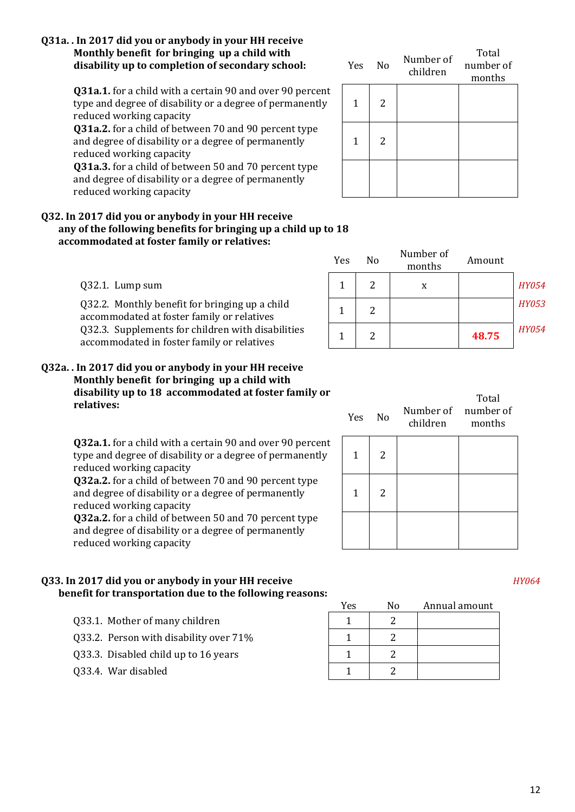#### **Q31a. . In 2017 did you or anybody in your HH receive Monthly benefit for bringing up a child with**  disability up to completion of secondary school:

**Q31a.1.** for a child with a certain 90 and over 90 percent type and degree of disability or a degree of permanently reduced working capacity

**Q31a.2.** for a child of between 70 and 90 percent type and degree of disability or a degree of permanently reduced working capacity

**Q31a.3.** for a child of between 50 and 70 percent type and degree of disability or a degree of permanently reduced working capacity

#### **Q32. In 2017 did you or anybody in your HH receive any of the following benefits for bringing up a child up to 18 accommodated at foster family or relatives:**

Q32.1. Lump sum

Q32.2. Monthly benefit for bringing up a child  $\begin{array}{c|c} 1 & 2 & \end{array}$  HY053 Q32.3. Supplements for children with disabilities  $\begin{array}{|c|c|c|c|c|c|c|c|} \hline 1 & 2 & 48.75 & ^\{HY054\} \hline \end{array}$ 

#### **Q32a. . In 2017 did you or anybody in your HH receive Monthly benefit for bringing up a child with disability up to 18 accommodated at foster family or relatives:**

**Q32a.1.** for a child with a certain 90 and over 90 percent type and degree of disability or a degree of permanently reduced working capacity

**Q32a.2.** for a child of between 70 and 90 percent type and degree of disability or a degree of permanently reduced working capacity

**Q32a.2.** for a child of between 50 and 70 percent type and degree of disability or a degree of permanently reduced working capacity

### **Q33. In 2017 did you or anybody in your HH receive** *HY064*  **benefit for transportation due to the following reasons:**

- 033.1. Mother of many children  $\begin{array}{ccc} 1 & 1 & 2 \end{array}$
- Q33.2. Person with disability over  $71\%$  1 1 2
- Q33.3. Disabled child up to 16 years  $\begin{array}{|c|c|c|c|c|c|c|c|c|} \hline 1 & 2 & 2 \end{array}$
- 033.4. War disabled  $\begin{array}{ccc} 1 & 2 \end{array}$

| Yes | N <sub>o</sub> | Number of<br>children | Total<br>number of<br>months |
|-----|----------------|-----------------------|------------------------------|
| 1   | 2              |                       |                              |
| 1   | 2              |                       |                              |
|     |                |                       |                              |

| Yes | No | Number of<br>months | Amount |              |
|-----|----|---------------------|--------|--------------|
| 1   |    | X                   |        | <b>HY054</b> |
|     | 2  |                     |        | <b>HY053</b> |
| 1   |    |                     | 48.75  | <b>HY054</b> |

| Yes.         | <b>No</b> | children months | Total<br>Number of number of |
|--------------|-----------|-----------------|------------------------------|
| $\mathbf{1}$ | 2         |                 |                              |
| 1            | 2         |                 |                              |
|              |           |                 |                              |

Yes No Annual amount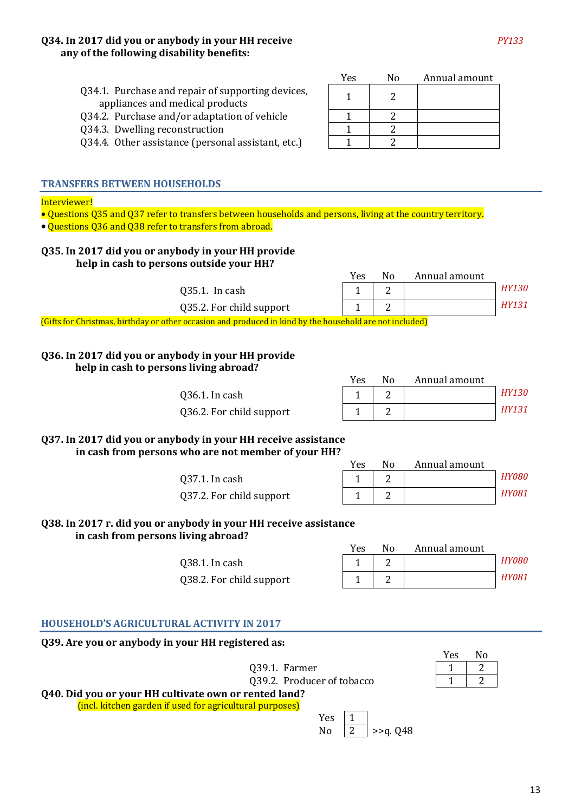#### **Q34. In 2017 did you or anybody in your HH receive** *PY133*  **any of the following disability benefits:**

| Yes | No | Annual amount |
|-----|----|---------------|
|     |    |               |
|     |    |               |
|     |    |               |
|     |    |               |

#### Q34.1. Purchase and repair of supporting devices, appliances and medical products

- Q34.2. Purchase and/or adaptation of vehicle
- Q34.3. Dwelling reconstruction
- Q34.4. Other assistance (personal assistant, etc.)  $\begin{vmatrix} 1 & 2 \end{vmatrix}$

#### **TRANSFERS BETWEEN HOUSEHOLDS**

#### Interviewer!

• Questions Q35 and Q37 refer to transfers between households and persons, living at the country territory.

• Questions Q36 and Q38 refer to transfers from abroad.

#### **Q35. In 2017 did you or anybody in your HH provide help in cash to persons outside your HH?**

Yes No Annual amount 035.1. In cash  $\begin{array}{|c|c|c|c|c|c|} \hline 1 & 2 & 0 \end{array}$  *HY130*  $Q35.2.$  For child support  $\begin{vmatrix} 1 & 2 \\ 1 & 2 \end{vmatrix}$  HY131

(Gifts for Christmas, birthday or other occasion and produced in kind by the household are not included)

#### **Q36. In 2017 did you or anybody in your HH provide help in cash to persons living abroad?**

Q36.1. In cash 1 2 *HY130* Q36.2. For child support

| Yes | N٥ | Annual amount |              |
|-----|----|---------------|--------------|
|     |    |               | <b>HY130</b> |
|     |    |               | HY131        |

**Q37. In 2017 did you or anybody in your HH receive assistance in cash from persons who are not member of your HH?** 

037.1. In cash

Q37.2. For child support

| Yes | N٥ | Annual amount |              |
|-----|----|---------------|--------------|
|     |    |               | HY080        |
|     |    |               | <b>HY081</b> |

**Q38. In 2017 г. did you or anybody in your HH receive assistance in cash from persons living abroad?**

> Q38.1. In cash Q38.2. For child support

| Yes | N٥ | Annual amount |       |
|-----|----|---------------|-------|
|     |    |               | HY080 |
|     |    |               | HY081 |

#### **HOUSEHOLD'S AGRICULTURAL ACTIVITY IN 2017**

**Q39. Are you or anybody in your HH registered as:** 

|                                                          | Yes | N٥ |
|----------------------------------------------------------|-----|----|
| Q39.1. Farmer                                            |     |    |
| Q39.2. Producer of tobacco                               |     |    |
| Q40. Did you or your HH cultivate own or rented land?    |     |    |
| (incl. kitchen garden if used for agricultural purposes) |     |    |
| Yes                                                      |     |    |